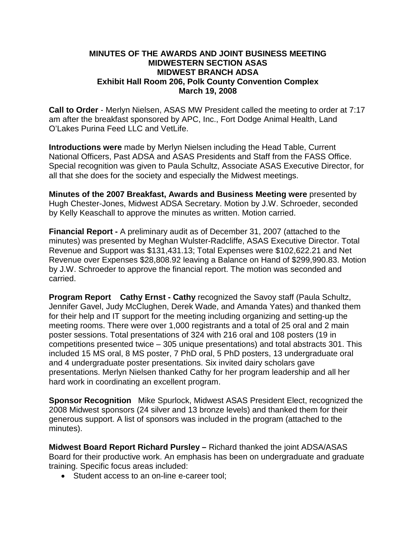# **MINUTES OF THE AWARDS AND JOINT BUSINESS MEETING MIDWESTERN SECTION ASAS MIDWEST BRANCH ADSA Exhibit Hall Room 206, Polk County Convention Complex March 19, 2008**

**Call to Order** - Merlyn Nielsen, ASAS MW President called the meeting to order at 7:17 am after the breakfast sponsored by APC, Inc., Fort Dodge Animal Health, Land O'Lakes Purina Feed LLC and VetLife.

**Introductions were** made by Merlyn Nielsen including the Head Table, Current National Officers, Past ADSA and ASAS Presidents and Staff from the FASS Office. Special recognition was given to Paula Schultz, Associate ASAS Executive Director, for all that she does for the society and especially the Midwest meetings.

**Minutes of the 2007 Breakfast, Awards and Business Meeting were** presented by Hugh Chester-Jones, Midwest ADSA Secretary. Motion by J.W. Schroeder, seconded by Kelly Keaschall to approve the minutes as written. Motion carried.

**Financial Report -** A preliminary audit as of December 31, 2007 (attached to the minutes) was presented by Meghan Wulster-Radcliffe, ASAS Executive Director. Total Revenue and Support was \$131,431.13; Total Expenses were \$102,622.21 and Net Revenue over Expenses \$28,808.92 leaving a Balance on Hand of \$299,990.83. Motion by J.W. Schroeder to approve the financial report. The motion was seconded and carried.

**Program Report Cathy Ernst - Cathy** recognized the Savoy staff (Paula Schultz, Jennifer Gavel, Judy McClughen, Derek Wade, and Amanda Yates) and thanked them for their help and IT support for the meeting including organizing and setting-up the meeting rooms. There were over 1,000 registrants and a total of 25 oral and 2 main poster sessions. Total presentations of 324 with 216 oral and 108 posters (19 in competitions presented twice – 305 unique presentations) and total abstracts 301. This included 15 MS oral, 8 MS poster, 7 PhD oral, 5 PhD posters, 13 undergraduate oral and 4 undergraduate poster presentations. Six invited dairy scholars gave presentations. Merlyn Nielsen thanked Cathy for her program leadership and all her hard work in coordinating an excellent program.

**Sponsor Recognition** Mike Spurlock, Midwest ASAS President Elect, recognized the 2008 Midwest sponsors (24 silver and 13 bronze levels) and thanked them for their generous support. A list of sponsors was included in the program (attached to the minutes).

**Midwest Board Report Richard Pursley –** Richard thanked the joint ADSA/ASAS Board for their productive work. An emphasis has been on undergraduate and graduate training. Specific focus areas included:

• Student access to an on-line e-career tool;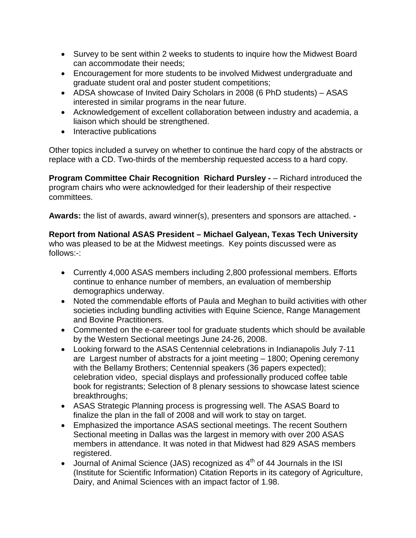- Survey to be sent within 2 weeks to students to inquire how the Midwest Board can accommodate their needs;
- Encouragement for more students to be involved Midwest undergraduate and graduate student oral and poster student competitions;
- ADSA showcase of Invited Dairy Scholars in 2008 (6 PhD students) ASAS interested in similar programs in the near future.
- Acknowledgement of excellent collaboration between industry and academia, a liaison which should be strengthened.
- Interactive publications

Other topics included a survey on whether to continue the hard copy of the abstracts or replace with a CD. Two-thirds of the membership requested access to a hard copy.

**Program Committee Chair Recognition Richard Pursley -** – Richard introduced the program chairs who were acknowledged for their leadership of their respective committees.

**Awards:** the list of awards, award winner(s), presenters and sponsors are attached. **-**

**Report from National ASAS President – Michael Galyean, Texas Tech University**  who was pleased to be at the Midwest meetings. Key points discussed were as follows:-:

- Currently 4,000 ASAS members including 2,800 professional members. Efforts continue to enhance number of members, an evaluation of membership demographics underway.
- Noted the commendable efforts of Paula and Meghan to build activities with other societies including bundling activities with Equine Science, Range Management and Bovine Practitioners.
- Commented on the e-career tool for graduate students which should be available by the Western Sectional meetings June 24-26, 2008.
- Looking forward to the ASAS Centennial celebrations in Indianapolis July 7-11 are Largest number of abstracts for a joint meeting – 1800; Opening ceremony with the Bellamy Brothers; Centennial speakers (36 papers expected); celebration video, special displays and professionally produced coffee table book for registrants; Selection of 8 plenary sessions to showcase latest science breakthroughs;
- ASAS Strategic Planning process is progressing well. The ASAS Board to finalize the plan in the fall of 2008 and will work to stay on target.
- Emphasized the importance ASAS sectional meetings. The recent Southern Sectional meeting in Dallas was the largest in memory with over 200 ASAS members in attendance. It was noted in that Midwest had 829 ASAS members registered.
- Journal of Animal Science (JAS) recognized as  $4<sup>th</sup>$  of 44 Journals in the ISI (Institute for Scientific Information) Citation Reports in its category of Agriculture, Dairy, and Animal Sciences with an impact factor of 1.98.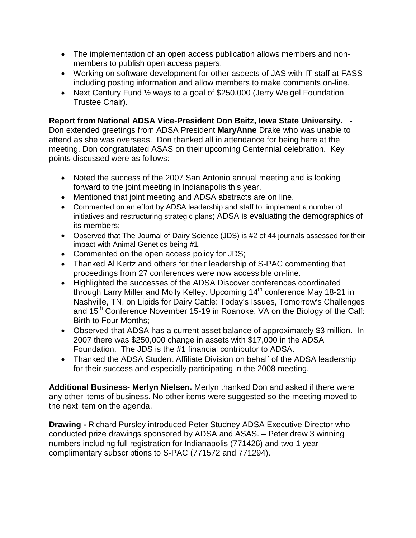- The implementation of an open access publication allows members and nonmembers to publish open access papers.
- Working on software development for other aspects of JAS with IT staff at FASS including posting information and allow members to make comments on-line.
- Next Century Fund 1/2 ways to a goal of \$250,000 (Jerry Weigel Foundation Trustee Chair).

**Report from National ADSA Vice-President Don Beitz, Iowa State University. -**

Don extended greetings from ADSA President **MaryAnne** Drake who was unable to attend as she was overseas. Don thanked all in attendance for being here at the meeting. Don congratulated ASAS on their upcoming Centennial celebration. Key points discussed were as follows:-

- Noted the success of the 2007 San Antonio annual meeting and is looking forward to the joint meeting in Indianapolis this year.
- Mentioned that joint meeting and ADSA abstracts are on line.
- Commented on an effort by ADSA leadership and staff to implement a number of initiatives and restructuring strategic plans; ADSA is evaluating the demographics of its members;
- Observed that The Journal of Dairy Science (JDS) is #2 of 44 journals assessed for their impact with Animal Genetics being #1.
- Commented on the open access policy for JDS;
- Thanked Al Kertz and others for their leadership of S-PAC commenting that proceedings from 27 conferences were now accessible on-line.
- Highlighted the successes of the ADSA Discover conferences coordinated through Larry Miller and Molly Kelley. Upcoming 14<sup>th</sup> conference May 18-21 in Nashville, TN, on Lipids for Dairy Cattle: Today's Issues, Tomorrow's Challenges and 15<sup>th</sup> Conference November 15-19 in Roanoke, VA on the Biology of the Calf: Birth to Four Months;
- Observed that ADSA has a current asset balance of approximately \$3 million. In 2007 there was \$250,000 change in assets with \$17,000 in the ADSA Foundation. The JDS is the #1 financial contributor to ADSA.
- Thanked the ADSA Student Affiliate Division on behalf of the ADSA leadership for their success and especially participating in the 2008 meeting.

**Additional Business- Merlyn Nielsen.** Merlyn thanked Don and asked if there were any other items of business. No other items were suggested so the meeting moved to the next item on the agenda.

**Drawing -** Richard Pursley introduced Peter Studney ADSA Executive Director who conducted prize drawings sponsored by ADSA and ASAS. – Peter drew 3 winning numbers including full registration for Indianapolis (771426) and two 1 year complimentary subscriptions to S-PAC (771572 and 771294).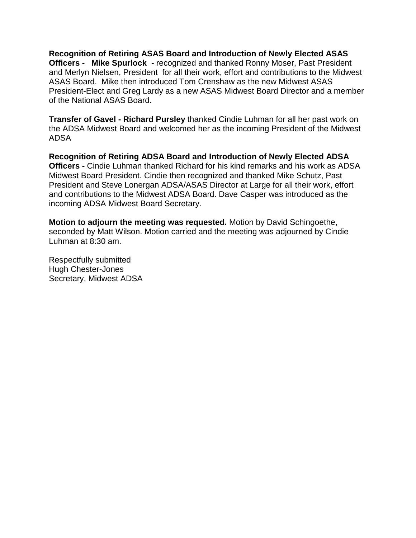**Recognition of Retiring ASAS Board and Introduction of Newly Elected ASAS Officers - Mike Spurlock -** recognized and thanked Ronny Moser, Past President and Merlyn Nielsen, President for all their work, effort and contributions to the Midwest ASAS Board. Mike then introduced Tom Crenshaw as the new Midwest ASAS President-Elect and Greg Lardy as a new ASAS Midwest Board Director and a member of the National ASAS Board.

**Transfer of Gavel - Richard Pursley** thanked Cindie Luhman for all her past work on the ADSA Midwest Board and welcomed her as the incoming President of the Midwest ADSA

**Recognition of Retiring ADSA Board and Introduction of Newly Elected ADSA Officers -** Cindie Luhman thanked Richard for his kind remarks and his work as ADSA Midwest Board President. Cindie then recognized and thanked Mike Schutz, Past President and Steve Lonergan ADSA/ASAS Director at Large for all their work, effort and contributions to the Midwest ADSA Board. Dave Casper was introduced as the incoming ADSA Midwest Board Secretary.

**Motion to adjourn the meeting was requested.** Motion by David Schingoethe, seconded by Matt Wilson. Motion carried and the meeting was adjourned by Cindie Luhman at 8:30 am.

Respectfully submitted Hugh Chester-Jones Secretary, Midwest ADSA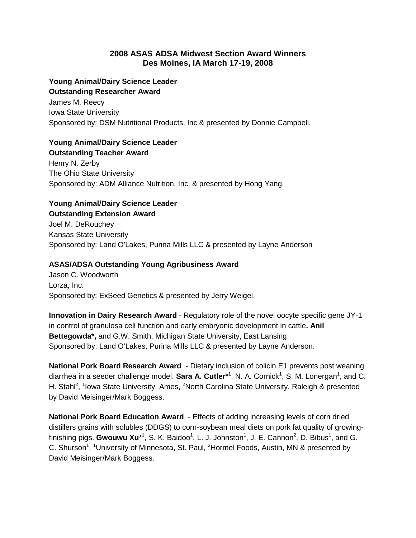# **2008 ASAS ADSA Midwest Section Award Winners Des Moines, IA March 17-19, 2008**

### **Young Animal/Dairy Science Leader Outstanding Researcher Award**

James M. Reecy Iowa State University Sponsored by: DSM Nutritional Products, Inc & presented by Donnie Campbell.

## **Young Animal/Dairy Science Leader Outstanding Teacher Award**

Henry N. Zerby The Ohio State University Sponsored by: ADM Alliance Nutrition, Inc. & presented by Hong Yang.

# **Young Animal/Dairy Science Leader Outstanding Extension Award**

Joel M. DeRouchey Kansas State University Sponsored by: Land O'Lakes, Purina Mills LLC & presented by Layne Anderson

# **ASAS/ADSA Outstanding Young Agribusiness Award**

Jason C. Woodworth Lorza, Inc. Sponsored by: ExSeed Genetics & presented by Jerry Weigel.

**Innovation in Dairy Research Award** - Regulatory role of the novel oocyte specific gene JY-1 in control of granulosa cell function and early embryonic development in cattle**. Anil Bettegowda\*,** and G.W. Smith, Michigan State University, East Lansing. Sponsored by: Land O'Lakes, Purina Mills LLC & presented by Layne Anderson.

**National Pork Board Research Award** - Dietary inclusion of colicin E1 prevents post weaning diarrhea in a seeder challenge model. **Sara A. Cutler\*<sup>1</sup>, N. A. Cornick<sup>1</sup>, S. M. Lonergan<sup>1</sup>, and C.** H. Stahl<sup>2</sup>, <sup>1</sup>lowa State University, Ames, <sup>2</sup>North Carolina State University, Raleigh & presented by David Meisinger/Mark Boggess.

**National Pork Board Education Award** - Effects of adding increasing levels of corn dried distillers grains with solubles (DDGS) to corn-soybean meal diets on pork fat quality of growingfinishing pigs. Gwouwu Xu<sup>\*1</sup>, S. K. Baidoo<sup>1</sup>, L. J. Johnston<sup>1</sup>, J. E. Cannon<sup>2</sup>, D. Bibus<sup>1</sup>, and G. C. Shurson<sup>1</sup>, <sup>1</sup>University of Minnesota, St. Paul, <sup>2</sup>Hormel Foods, Austin, MN & presented by David Meisinger/Mark Boggess.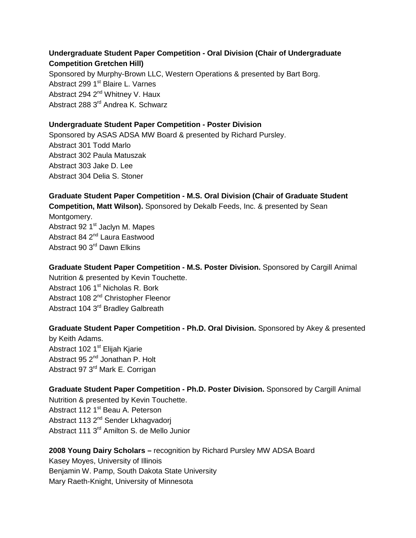# **Undergraduate Student Paper Competition - Oral Division (Chair of Undergraduate Competition Gretchen Hill)**  Sponsored by Murphy-Brown LLC, Western Operations & presented by Bart Borg. Abstract 299 1<sup>st</sup> Blaire L. Varnes Abstract 294 2<sup>nd</sup> Whitney V. Haux Abstract 288 3<sup>rd</sup> Andrea K. Schwarz

## **Undergraduate Student Paper Competition - Poster Division**

Sponsored by ASAS ADSA MW Board & presented by Richard Pursley. Abstract 301 Todd Marlo Abstract 302 Paula Matuszak Abstract 303 Jake D. Lee Abstract 304 Delia S. Stoner

**Graduate Student Paper Competition - M.S. Oral Division (Chair of Graduate Student Competition, Matt Wilson).** Sponsored by Dekalb Feeds, Inc. & presented by Sean Montgomery. Abstract 92 1<sup>st</sup> Jaclyn M. Mapes Abstract 84 2<sup>nd</sup> Laura Eastwood Abstract 90 3rd Dawn Elkins

**Graduate Student Paper Competition - M.S. Poster Division.** Sponsored by Cargill Animal Nutrition & presented by Kevin Touchette. Abstract 106 1<sup>st</sup> Nicholas R. Bork Abstract 108 2<sup>nd</sup> Christopher Fleenor Abstract 104 3<sup>rd</sup> Bradley Galbreath

**Graduate Student Paper Competition - Ph.D. Oral Division.** Sponsored by Akey & presented by Keith Adams. Abstract 102 1<sup>st</sup> Elijah Kjarie Abstract 95 2<sup>nd</sup> Jonathan P. Holt Abstract 97 3<sup>rd</sup> Mark E. Corrigan

**Graduate Student Paper Competition - Ph.D. Poster Division.** Sponsored by Cargill Animal Nutrition & presented by Kevin Touchette. Abstract 112 1<sup>st</sup> Beau A. Peterson Abstract 113 2<sup>nd</sup> Sender Lkhagvadorj Abstract 111 3<sup>rd</sup> Amilton S. de Mello Junior

**2008 Young Dairy Scholars –** recognition by Richard Pursley MW ADSA Board Kasey Moyes, University of Illinois Benjamin W. Pamp, South Dakota State University Mary Raeth-Knight, University of Minnesota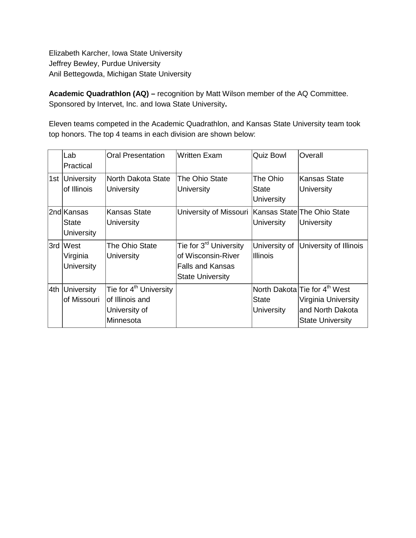Elizabeth Karcher, Iowa State University Jeffrey Bewley, Purdue University Anil Bettegowda, Michigan State University

**Academic Quadrathlon (AQ) –** recognition by Matt Wilson member of the AQ Committee. Sponsored by Intervet, Inc. and Iowa State University**.** 

Eleven teams competed in the Academic Quadrathlon, and Kansas State University team took top honors. The top 4 teams in each division are shown below:

|     | Lab               | <b>Oral Presentation</b>           | <b>Written Exam</b>                                   | <b>Quiz Bowl</b>  | Overall                                   |
|-----|-------------------|------------------------------------|-------------------------------------------------------|-------------------|-------------------------------------------|
|     | Practical         |                                    |                                                       |                   |                                           |
|     | 1st University    | North Dakota State                 | The Ohio State                                        | The Ohio          | Kansas State                              |
|     | of Illinois       | University                         | University                                            | State             | University                                |
|     |                   |                                    |                                                       | <b>University</b> |                                           |
|     | 2ndlKansas        | Kansas State                       | University of Missouri   Kansas State  The Ohio State |                   |                                           |
|     | State             | University                         |                                                       | University        | University                                |
|     | <b>University</b> |                                    |                                                       |                   |                                           |
|     | 3rd West          | The Ohio State                     | Tie for 3 <sup>rd</sup> University                    | University of     | University of Illinois                    |
|     | Virginia          | University                         | of Wisconsin-River                                    | <b>Illinois</b>   |                                           |
|     | <b>University</b> |                                    | Falls and Kansas                                      |                   |                                           |
|     |                   |                                    | <b>State University</b>                               |                   |                                           |
| 4th | <b>University</b> | Tie for 4 <sup>th</sup> University |                                                       |                   | North Dakota Tie for 4 <sup>th</sup> West |
|     | of Missouri       | of Illinois and                    |                                                       | <b>State</b>      | Virginia University                       |
|     |                   | University of                      |                                                       | <b>University</b> | and North Dakota                          |
|     |                   | Minnesota                          |                                                       |                   | <b>State University</b>                   |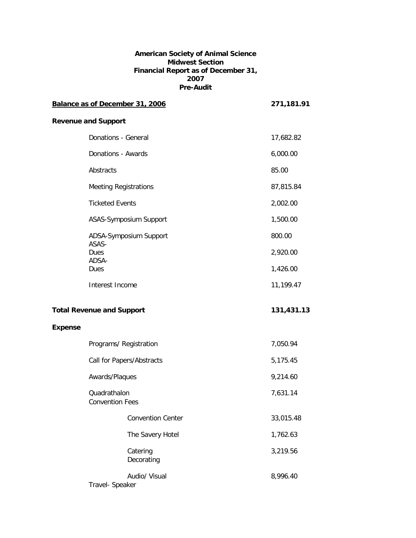#### **American Society of Animal Science Midwest Section Financial Report as of December 31, 2007 Pre-Audit**

|                |                                        | Balance as of December 31, 2006 | 271,181.91 |
|----------------|----------------------------------------|---------------------------------|------------|
|                | <b>Revenue and Support</b>             |                                 |            |
|                | Donations - General                    |                                 | 17,682.82  |
|                | Donations - Awards                     |                                 | 6,000.00   |
|                | Abstracts                              |                                 | 85.00      |
|                | <b>Meeting Registrations</b>           |                                 | 87,815.84  |
|                | <b>Ticketed Events</b>                 |                                 | 2,002.00   |
|                |                                        | ASAS-Symposium Support          | 1,500.00   |
|                |                                        | ADSA-Symposium Support          | 800.00     |
|                | ASAS-<br>Dues                          |                                 | 2,920.00   |
|                | ADSA-<br>Dues                          |                                 | 1,426.00   |
|                | Interest Income                        |                                 | 11,199.47  |
|                | <b>Total Revenue and Support</b>       |                                 | 131,431.13 |
| <b>Expense</b> |                                        |                                 |            |
|                | Programs/ Registration                 |                                 | 7,050.94   |
|                | Call for Papers/Abstracts              |                                 | 5,175.45   |
|                | Awards/Plaques                         |                                 | 9,214.60   |
|                | Quadrathalon<br><b>Convention Fees</b> |                                 | 7,631.14   |
|                |                                        | <b>Convention Center</b>        | 33,015.48  |
|                |                                        | The Savery Hotel                | 1,762.63   |
|                |                                        | Catering<br>Decorating          | 3,219.56   |
|                | Travel- Speaker                        | Audio/ Visual                   | 8,996.40   |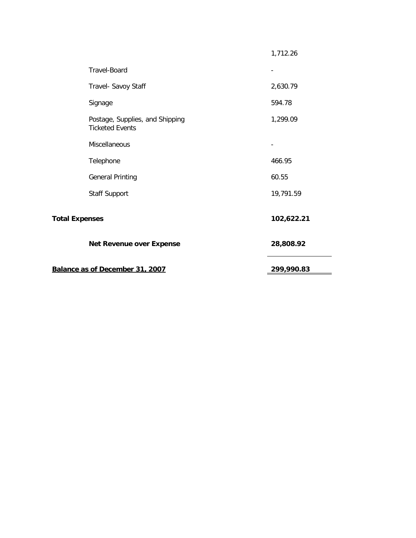| Balance as of December 31, 2007 |                                                           | 299,990.83 |
|---------------------------------|-----------------------------------------------------------|------------|
|                                 | <b>Net Revenue over Expense</b>                           | 28,808.92  |
| <b>Total Expenses</b>           |                                                           | 102,622.21 |
|                                 | <b>Staff Support</b>                                      | 19,791.59  |
|                                 | <b>General Printing</b>                                   | 60.55      |
|                                 | Telephone                                                 | 466.95     |
|                                 | Miscellaneous                                             |            |
|                                 | Postage, Supplies, and Shipping<br><b>Ticketed Events</b> | 1,299.09   |
|                                 | Signage                                                   | 594.78     |
|                                 | Travel- Savoy Staff                                       | 2,630.79   |
|                                 | <b>Travel-Board</b>                                       |            |
|                                 |                                                           | 1,712.26   |